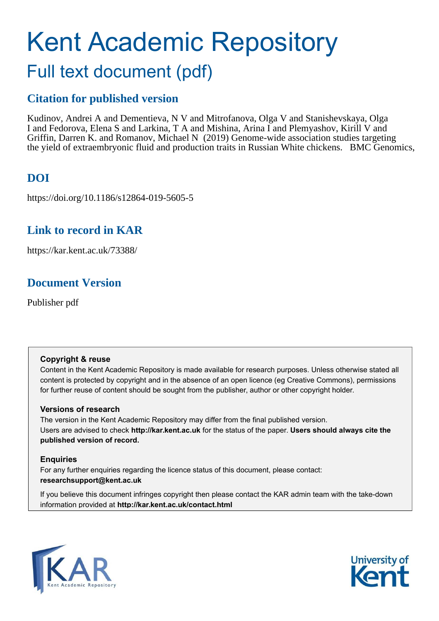# Kent Academic Repository Full text document (pdf)

### **Citation for published version**

Kudinov, Andrei A and Dementieva, N V and Mitrofanova, Olga V and Stanishevskaya, Olga I and Fedorova, Elena S and Larkina, T A and Mishina, Arina I and Plemyashov, Kirill V and Griffin, Darren K. and Romanov, Michael N (2019) Genome-wide association studies targeting the yield of extraembryonic fluid and production traits in Russian White chickens. BMC Genomics,

### **DOI**

https://doi.org/10.1186/s12864-019-5605-5

### **Link to record in KAR**

https://kar.kent.ac.uk/73388/

### **Document Version**

Publisher pdf

#### **Copyright & reuse**

Content in the Kent Academic Repository is made available for research purposes. Unless otherwise stated all content is protected by copyright and in the absence of an open licence (eg Creative Commons), permissions for further reuse of content should be sought from the publisher, author or other copyright holder.

#### **Versions of research**

The version in the Kent Academic Repository may differ from the final published version. Users are advised to check **http://kar.kent.ac.uk** for the status of the paper. **Users should always cite the published version of record.**

#### **Enquiries**

For any further enquiries regarding the licence status of this document, please contact: **researchsupport@kent.ac.uk**

If you believe this document infringes copyright then please contact the KAR admin team with the take-down information provided at **http://kar.kent.ac.uk/contact.html**



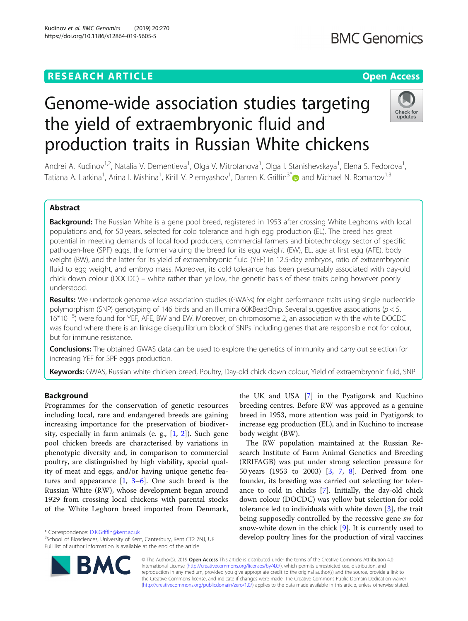### **RESEARCH ARTICLE Example 2014 12:30 The Contract of Contract ACCESS**

## Genome-wide association studies targeting the yield of extraembryonic fluid and production traits in Russian White chickens

Andrei A. Kudinov<sup>1,2</sup>, Natalia V. Dementieva<sup>1</sup>, Olga V. Mitrofanova<sup>1</sup>, Olga I. Stanishevskaya<sup>1</sup>, Elena S. Fedorova<sup>1</sup> , Tatiana A. Larkina<sup>1</sup>, Arina I. Mishina<sup>1</sup>, Kirill V. Plemyashov<sup>1</sup>, Darren K. Griffin<sup>3\*</sup>@ and Michael N. Romanov<sup>1,3</sup>

#### Abstract

Background: The Russian White is a gene pool breed, registered in 1953 after crossing White Leghorns with local populations and, for 50 years, selected for cold tolerance and high egg production (EL). The breed has great potential in meeting demands of local food producers, commercial farmers and biotechnology sector of specific pathogen-free (SPF) eggs, the former valuing the breed for its egg weight (EW), EL, age at first egg (AFE), body weight (BW), and the latter for its yield of extraembryonic fluid (YEF) in 12.5-day embryos, ratio of extraembryonic fluid to egg weight, and embryo mass. Moreover, its cold tolerance has been presumably associated with day-old chick down colour (DOCDC) – white rather than yellow, the genetic basis of these traits being however poorly understood.

Results: We undertook genome-wide association studies (GWASs) for eight performance traits using single nucleotide polymorphism (SNP) genotyping of 146 birds and an Illumina 60KBeadChip. Several suggestive associations ( $p < 5$ . 16\*10<sup>−</sup> <sup>5</sup> ) were found for YEF, AFE, BW and EW. Moreover, on chromosome 2, an association with the white DOCDC was found where there is an linkage disequilibrium block of SNPs including genes that are responsible not for colour, but for immune resistance.

**Conclusions:** The obtained GWAS data can be used to explore the genetics of immunity and carry out selection for increasing YEF for SPF eggs production.

Keywords: GWAS, Russian white chicken breed, Poultry, Day-old chick down colour, Yield of extraembryonic fluid, SNP

#### Background

Programmes for the conservation of genetic resources including local, rare and endangered breeds are gaining increasing importance for the preservation of biodiversity, especially in farm animals (e. g., [\[1](#page-10-0), [2](#page-10-0)]). Such gene pool chicken breeds are characterised by variations in phenotypic diversity and, in comparison to commercial poultry, are distinguished by high viability, special quality of meat and eggs, and/or having unique genetic features and appearance [\[1](#page-10-0), [3](#page-10-0)–[6](#page-10-0)]. One such breed is the Russian White (RW), whose development began around 1929 from crossing local chickens with parental stocks of the White Leghorn breed imported from Denmark,

\* Correspondence: [D.K.Griffin@kent.ac.uk](mailto:D.K.Griffin@kent.ac.uk)

<sup>3</sup>School of Biosciences, University of Kent, Canterbury, Kent CT2 7NJ, UK Full list of author information is available at the end of the article

> © The Author(s). 2019 Open Access This article is distributed under the terms of the Creative Commons Attribution 4.0 International License [\(http://creativecommons.org/licenses/by/4.0/](http://creativecommons.org/licenses/by/4.0/)), which permits unrestricted use, distribution, and reproduction in any medium, provided you give appropriate credit to the original author(s) and the source, provide a link to the Creative Commons license, and indicate if changes were made. The Creative Commons Public Domain Dedication waiver [\(http://creativecommons.org/publicdomain/zero/1.0/](http://creativecommons.org/publicdomain/zero/1.0/)) applies to the data made available in this article, unless otherwise stated.

body weight (BW).

the UK and USA [\[7](#page-10-0)] in the Pyatigorsk and Kuchino breeding centres. Before RW was approved as a genuine breed in 1953, more attention was paid in Pyatigorsk to increase egg production (EL), and in Kuchino to increase

The RW population maintained at the Russian Research Institute of Farm Animal Genetics and Breeding (RRIFAGB) was put under strong selection pressure for 50 years (1953 to 2003) [[3,](#page-10-0) [7,](#page-10-0) [8\]](#page-10-0). Derived from one founder, its breeding was carried out selecting for tolerance to cold in chicks [\[7](#page-10-0)]. Initially, the day-old chick down colour (DOCDC) was yellow but selection for cold tolerance led to individuals with white down [[3\]](#page-10-0), the trait being supposedly controlled by the recessive gene sw for snow-white down in the chick [[9\]](#page-10-0). It is currently used to develop poultry lines for the production of viral vaccines







Kudinov et al. BMC Genomics (2019) 20:270 https://doi.org/10.1186/s12864-019-5605-5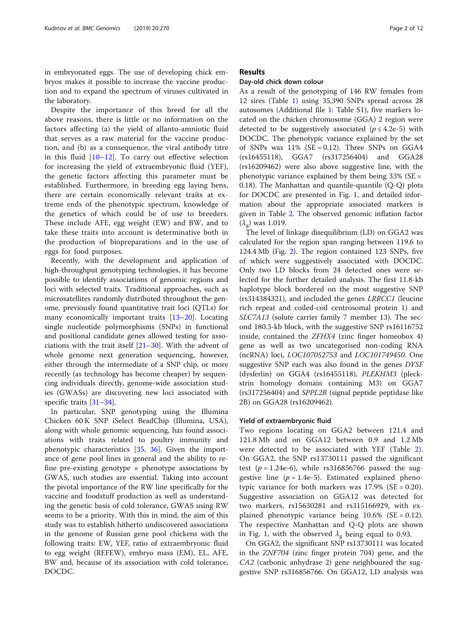<span id="page-2-0"></span>in embryonated eggs. The use of developing chick embryos makes it possible to increase the vaccine production and to expand the spectrum of viruses cultivated in the laboratory.

Despite the importance of this breed for all the above reasons, there is little or no information on the factors affecting (a) the yield of allanto-amniotic fluid that serves as a raw material for the vaccine production, and (b) as a consequence, the viral antibody titre in this fluid  $[10-12]$  $[10-12]$  $[10-12]$  $[10-12]$ . To carry out effective selection for increasing the yield of extraembryonic fluid (YEF), the genetic factors affecting this parameter must be established. Furthermore, in breeding egg laying hens, there are certain economically relevant traits at extreme ends of the phenotypic spectrum, knowledge of the genetics of which could be of use to breeders. These include AFE, egg weight (EW) and BW, and to take these traits into account is determinative both in the production of biopreparations and in the use of eggs for food purposes.

Recently, with the development and application of high-throughput genotyping technologies, it has become possible to identify associations of genomic regions and loci with selected traits. Traditional approaches, such as microsatellites randomly distributed throughout the genome, previously found quantitative trait loci (QTLs) for many economically important traits [[13](#page-10-0)–[20\]](#page-10-0). Locating single nucleotide polymorphisms (SNPs) in functional and positional candidate genes allowed testing for associations with the trait itself [\[21](#page-10-0)–[30\]](#page-10-0). With the advent of whole genome next generation sequencing, however, either through the intermediate of a SNP chip, or more recently (as technology has become cheaper) by sequencing individuals directly, genome-wide association studies (GWASs) are discovering new loci associated with specific traits [[31](#page-11-0)–[34](#page-11-0)].

In particular, SNP genotyping using the Illumina Chicken 60 K SNP iSelect BeadChip (Illumina, USA), along with whole genomic sequencing, has found associations with traits related to poultry immunity and phenotypic characteristics [[35,](#page-11-0) [36\]](#page-11-0). Given the importance of gene pool lines in general and the ability to refine pre-existing genotype  $\times$  phenotype associations by GWAS, such studies are essential. Taking into account the pivotal importance of the RW line specifically for the vaccine and foodstuff production as well as understanding the genetic basis of cold tolerance, GWAS using RW seems to be a priority. With this in mind, the aim of this study was to establish hitherto undiscovered associations in the genome of Russian gene pool chickens with the following traits: EW, YEF, ratio of extraembryonic fluid to egg weight (REFEW), embryo mass (EM), EL, AFE, BW and, because of its association with cold tolerance, DOCDC.

#### Results

#### Day-old chick down colour

As a result of the genotyping of 146 RW females from 12 sires (Table 1) using 35,390 SNPs spread across 28 autosomes (Additional file [1](#page-9-0): Table S1), five markers located on the chicken chromosome (GGA) 2 region were detected to be suggestively associated ( $p \leq 4.2e-5$ ) with DOCDC. The phenotypic variance explained by the set of SNPs was  $11\%$  (SE = 0.12). Three SNPs on GGA4 (rs16455118), GGA7 (rs317256404) and GGA28 (rs16209462) were also above suggestive line, with the phenotypic variance explained by them being  $33\%$  (SE = 0.18). The Manhattan and quantile-quantile (Q-Q) plots for DOCDC are presented in Fig. [1,](#page-3-0) and detailed information about the appropriate associated markers is given in Table [2.](#page-4-0) The observed genomic inflation factor  $(\lambda_{\rm g})$  was 1.019.

The level of linkage disequilibrium (LD) on GGA2 was calculated for the region span ranging between 119.6 to 124.4 Mb (Fig. [2](#page-5-0)). The region contained 123 SNPs, five of which were suggestively associated with DOCDC. Only two LD blocks from 24 detected ones were selected for the further detailed analysis. The first 11.8-kb haplotype block bordered on the most suggestive SNP (rs314384321), and included the genes LRRCC1 (leucine rich repeat and coiled-coil centrosomal protein 1) and SLC7A13 (solute carrier family 7 member 13). The second 180.3-kb block, with the suggestive SNP rs16116752 inside, contained the ZFHX4 (zinc finger homeobox 4) gene as well as two uncategorised non-coding RNA (ncRNA) loci, LOC107052753 and LOC101749450. One suggestive SNP each was also found in the genes DYSF (dysferlin) on GGA4 (rs16455118), PLEKHM3 (pleckstrin homology domain containing M3) on GGA7 (rs317256404) and SPPL2B (signal peptide peptidase like 2B) on GGA28 (rs16209462).

#### Yield of extraembryonic fluid

Two regions locating on GGA2 between 121.4 and 121.8 Mb and on GGA12 between 0.9 and 1.2 Mb were detected to be associated with YEF (Table [2](#page-4-0)). On GGA2, the SNP rs13730111 passed the significant test ( $p = 1.24e-6$ ), while rs316856766 passed the suggestive line ( $p = 1.4e-5$ ). Estimated explained phenotypic variance for both markers was  $17.9\%$  (SE = 0.20). Suggestive association on GGA12 was detected for two markers, rs15630281 and rs315166929, with explained phenotypic variance being  $10.6\%$  (SE = 0.12). The respective Manhattan and Q-Q plots are shown in Fig. [1,](#page-3-0) with the observed  $\lambda_{\rm g}$  being equal to 0.93.

On GGA2, the significant SNP rs13730111 was located in the ZNF704 (zinc finger protein 704) gene, and the CA2 (carbonic anhydrase 2) gene neighboured the suggestive SNP rs316856766. On GGA12, LD analysis was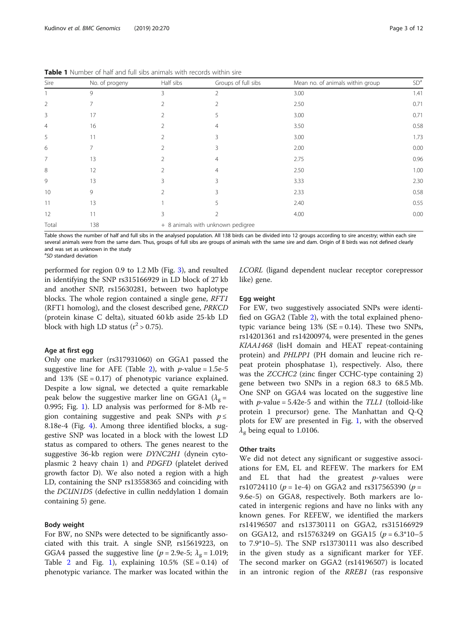| Sire           | No. of progeny | Half sibs      | Groups of full sibs               | Mean no. of animals within group | SD <sup>a</sup> |  |  |  |
|----------------|----------------|----------------|-----------------------------------|----------------------------------|-----------------|--|--|--|
|                | 9              | 3              | 2                                 | 3.00                             | 1.41            |  |  |  |
| $\overline{2}$ | 7              | $\mathfrak{D}$ | 2                                 | 2.50                             | 0.71            |  |  |  |
| 3              | 17             | $\mathfrak{D}$ | 5                                 | 3.00                             | 0.71            |  |  |  |
| 4              | 16             |                | 4                                 | 3.50                             | 0.58            |  |  |  |
| 5              | 11             | $\mathfrak{D}$ | 3                                 | 3.00                             | 1.73            |  |  |  |
| 6              | 7              | $\mathfrak{D}$ | 3                                 | 2.00                             | 0.00            |  |  |  |
| $\overline{7}$ | 13             | $\mathfrak{D}$ | 4                                 | 2.75                             | 0.96            |  |  |  |
| 8              | 12             |                | 4                                 | 2.50                             | 1.00            |  |  |  |
| 9              | 13             | ζ              | 3                                 | 3.33                             | 2.30            |  |  |  |
| 10             | 9              | $\mathfrak{D}$ | 3                                 | 2.33                             | 0.58            |  |  |  |
| 11             | 13             |                | 5                                 | 2.40                             | 0.55            |  |  |  |
| 12             | 11             | 3              |                                   | 4.00                             | 0.00            |  |  |  |
| Total          | 138            |                | + 8 animals with unknown pedigree |                                  |                 |  |  |  |

<span id="page-3-0"></span>Table 1 Number of half and full sibs animals with records within sire

Table shows the number of half and full sibs in the analysed population. All 138 birds can be divided into 12 groups according to sire ancestry; within each sire several animals were from the same dam. Thus, groups of full sibs are groups of animals with the same sire and dam. Origin of 8 birds was not defined clearly and was set as unknown in the study

<sup>a</sup>SD standard deviation

performed for region 0.9 to 1.2 Mb (Fig. [3](#page-6-0)), and resulted in identifying the SNP rs315166929 in LD block of 27 kb and another SNP, rs15630281, between two haplotype blocks. The whole region contained a single gene, RFT1 (RFT1 homolog), and the closest described gene, PRKCD (protein kinase C delta), situated 60 kb aside 25-kb LD block with high LD status ( $r^2 > 0.75$ ).

#### Age at first egg

Only one marker (rs317931060) on GGA1 passed the suggestive line for AFE (Table [2](#page-4-0)), with  $p$ -value = 1.5e-5 and  $13\%$  (SE = 0.17) of phenotypic variance explained. Despite a low signal, we detected a quite remarkable peak below the suggestive marker line on GGA1 ( $\lambda_g$  = 0.995; Fig. 1). LD analysis was performed for 8-Mb region containing suggestive and peak SNPs with  $p \leq$ 8.18e-4 (Fig. [4](#page-7-0)). Among three identified blocks, a suggestive SNP was located in a block with the lowest LD status as compared to others. The genes nearest to the suggestive 36-kb region were DYNC2H1 (dynein cytoplasmic 2 heavy chain 1) and PDGFD (platelet derived growth factor D). We also noted a region with a high LD, containing the SNP rs13558365 and coinciding with the DCUN1D5 (defective in cullin neddylation 1 domain containing 5) gene.

#### Body weight

For BW, no SNPs were detected to be significantly associated with this trait. A single SNP, rs15619223, on GGA4 passed the suggestive line ( $p = 2.9e-5$ ;  $\lambda_g = 1.019$ ; Table [2](#page-4-0) and Fig. 1), explaining  $10.5\%$  (SE = 0.14) of phenotypic variance. The marker was located within the LCORL (ligand dependent nuclear receptor corepressor like) gene.

#### Egg weight

For EW, two suggestively associated SNPs were identified on GGA2 (Table [2\)](#page-4-0), with the total explained phenotypic variance being  $13\%$  (SE = 0.14). These two SNPs, rs14201361 and rs14200974, were presented in the genes KIAA1468 (lisH domain and HEAT repeat-containing protein) and PHLPP1 (PH domain and leucine rich repeat protein phosphatase 1), respectively. Also, there was the ZCCHC2 (zinc finger CCHC-type containing 2) gene between two SNPs in a region 68.3 to 68.5 Mb. One SNP on GGA4 was located on the suggestive line with  $p$ -value = 5.42e-5 and within the  $TL1$  (tolloid-like protein 1 precursor) gene. The Manhattan and Q-Q plots for EW are presented in Fig. 1, with the observed  $\lambda_{\rm g}$  being equal to 1.0106.

#### Other traits

We did not detect any significant or suggestive associations for EM, EL and REFEW. The markers for EM and EL that had the greatest  $p$ -values were rs10724110 ( $p = 1e-4$ ) on GGA2 and rs317565390 ( $p =$ 9.6e-5) on GGA8, respectively. Both markers are located in intergenic regions and have no links with any known genes. For REFEW, we identified the markers rs14196507 and rs13730111 on GGA2, rs315166929 on GGA12, and rs15763249 on GGA15  $(p = 6.3*10 - 5$ to 7.9\*10–5). The SNP rs13730111 was also described in the given study as a significant marker for YEF. The second marker on GGA2 (rs14196507) is located in an intronic region of the RREB1 (ras responsive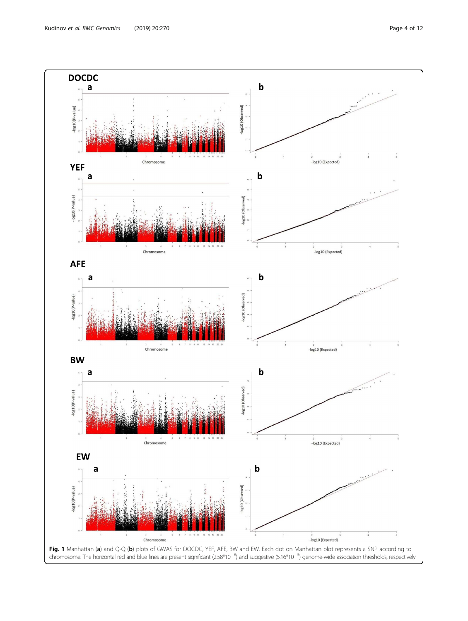<span id="page-4-0"></span>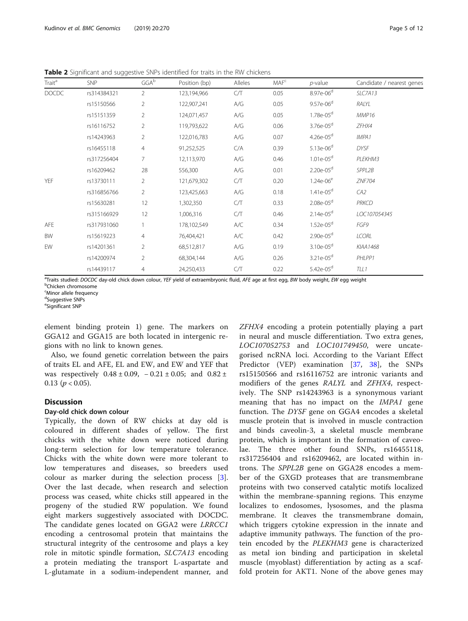<span id="page-5-0"></span>Table 2 Significant and suggestive SNPs identified for traits in the RW chickens

| Trait <sup>a</sup> | <b>SNP</b>  | $GGA^b$        | Position (bp) | Alleles | MAF <sup>c</sup> | $p$ -value            | Candidate / nearest genes |
|--------------------|-------------|----------------|---------------|---------|------------------|-----------------------|---------------------------|
| <b>DOCDC</b>       | rs314384321 | $\overline{2}$ | 123,194,966   | C/T     | 0.05             | 8.97e-06 <sup>d</sup> | SLC7A13                   |
|                    | rs15150566  | $\overline{2}$ | 122,907,241   | A/G     | 0.05             | $9.57e-06^d$          | RALYL                     |
|                    | rs15151359  | $\overline{2}$ | 124,071,457   | A/G     | 0.05             | $1.78e-05d$           | MMP16                     |
|                    | rs16116752  | $\overline{2}$ | 119,793,622   | A/G     | 0.06             | 3.76e-05 <sup>d</sup> | ZFHX4                     |
|                    | rs14243963  | $\overline{2}$ | 122,016,783   | A/G     | 0.07             | $4.26e-05d$           | IMPA <sub>1</sub>         |
|                    | rs16455118  | $\overline{4}$ | 91,252,525    | C/A     | 0.39             | $5.13e-06^d$          | <b>DYSF</b>               |
|                    | rs317256404 | 7              | 12,113,970    | A/G     | 0.46             | $1.01e-05^d$          | PLEKHM3                   |
|                    | rs16209462  | 28             | 556,300       | A/G     | 0.01             | $2.20e-05d$           | SPPL2B                    |
| YEF                | rs13730111  | $\overline{2}$ | 121,679,302   | C/T     | 0.20             | $1.24e-06^e$          | ZNF704                    |
|                    | rs316856766 | $\overline{2}$ | 123,425,663   | A/G     | 0.18             | $1.41e-05d$           | CA <sub>2</sub>           |
|                    | rs15630281  | 12             | 1,302,350     | C/T     | 0.33             | $2.08e-05d$           | <b>PRKCD</b>              |
|                    | rs315166929 | 12             | 1,006,316     | C/T     | 0.46             | $2.14e-05d$           | LOC107054345              |
| <b>AFE</b>         | rs317931060 |                | 178,102,549   | A/C     | 0.34             | $1.52e-05d$           | FGF9                      |
| BW                 | rs15619223  | $\overline{4}$ | 76,404,421    | A/C     | 0.42             | $2.90e-05d$           | <b>LCORL</b>              |
| EW                 | rs14201361  | $\overline{2}$ | 68,512,817    | A/G     | 0.19             | $3.10e-05d$           | KIAA1468                  |
|                    | rs14200974  | $\overline{2}$ | 68,304,144    | A/G     | 0.26             | $3.21e-05d$           | PHLPP1                    |
|                    | rs14439117  | $\overline{4}$ | 24,250,433    | C/T     | 0.22             | $5.42e-05^d$          | TLL1                      |

<sup>a</sup>Traits studied: DOCDC day-old chick down colour, YEF yield of extraembryonic fluid, AFE age at first egg, BW body weight, EW egg weight

<sup>b</sup>Chicken chromosome

<sup>c</sup>Minor allele frequency

<sup>d</sup>Suggestive SNPs

e Significant SNP

element binding protein 1) gene. The markers on GGA12 and GGA15 are both located in intergenic regions with no link to known genes.

Also, we found genetic correlation between the pairs of traits EL and AFE, EL and EW, and EW and YEF that was respectively  $0.48 \pm 0.09$ ,  $-0.21 \pm 0.05$ ; and  $0.82 \pm$  $0.13$  ( $p < 0.05$ ).

#### **Discussion**

#### Day-old chick down colour

Typically, the down of RW chicks at day old is coloured in different shades of yellow. The first chicks with the white down were noticed during long-term selection for low temperature tolerance. Chicks with the white down were more tolerant to low temperatures and diseases, so breeders used colour as marker during the selection process [\[3](#page-10-0)]. Over the last decade, when research and selection process was ceased, white chicks still appeared in the progeny of the studied RW population. We found eight markers suggestively associated with DOCDC. The candidate genes located on GGA2 were LRRCC1 encoding a centrosomal protein that maintains the structural integrity of the centrosome and plays a key role in mitotic spindle formation, SLC7A13 encoding a protein mediating the transport L-aspartate and L-glutamate in a sodium-independent manner, and ZFHX4 encoding a protein potentially playing a part in neural and muscle differentiation. Two extra genes, LOC107052753 and LOC101749450, were uncategorised ncRNA loci. According to the Variant Effect Predictor (VEP) examination [\[37](#page-11-0), [38](#page-11-0)], the SNPs rs15150566 and rs16116752 are intronic variants and modifiers of the genes RALYL and ZFHX4, respectively. The SNP rs14243963 is a synonymous variant meaning that has no impact on the IMPA1 gene function. The DYSF gene on GGA4 encodes a skeletal muscle protein that is involved in muscle contraction and binds caveolin-3, a skeletal muscle membrane protein, which is important in the formation of caveolae. The three other found SNPs, rs16455118, rs317256404 and rs16209462, are located within introns. The SPPL2B gene on GGA28 encodes a member of the GXGD proteases that are transmembrane proteins with two conserved catalytic motifs localized within the membrane-spanning regions. This enzyme localizes to endosomes, lysosomes, and the plasma membrane. It cleaves the transmembrane domain, which triggers cytokine expression in the innate and adaptive immunity pathways. The function of the protein encoded by the PLEKHM3 gene is characterized as metal ion binding and participation in skeletal muscle (myoblast) differentiation by acting as a scaffold protein for AKT1. None of the above genes may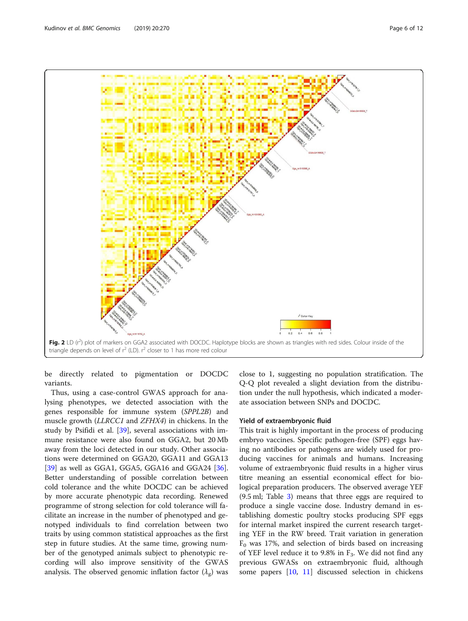<span id="page-6-0"></span>

be directly related to pigmentation or DOCDC variants.

Thus, using a case-control GWAS approach for analysing phenotypes, we detected association with the genes responsible for immune system (SPPL2B) and muscle growth (LLRCC1 and ZFHX4) in chickens. In the study by Psifidi et al. [[39\]](#page-11-0), several associations with immune resistance were also found on GGA2, but 20 Mb away from the loci detected in our study. Other associations were determined on GGA20, GGA11 and GGA13 [[39\]](#page-11-0) as well as GGA1, GGA5, GGA16 and GGA24  $[36]$  $[36]$ . Better understanding of possible correlation between cold tolerance and the white DOCDC can be achieved by more accurate phenotypic data recording. Renewed programme of strong selection for cold tolerance will facilitate an increase in the number of phenotyped and genotyped individuals to find correlation between two traits by using common statistical approaches as the first step in future studies. At the same time, growing number of the genotyped animals subject to phenotypic recording will also improve sensitivity of the GWAS analysis. The observed genomic inflation factor  $(\lambda_{\mathrm{g}})$  was

close to 1, suggesting no population stratification. The Q-Q plot revealed a slight deviation from the distribution under the null hypothesis, which indicated a moderate association between SNPs and DOCDC.

#### Yield of extraembryonic fluid

This trait is highly important in the process of producing embryo vaccines. Specific pathogen-free (SPF) eggs having no antibodies or pathogens are widely used for producing vaccines for animals and humans. Increasing volume of extraembryonic fluid results in a higher virus titre meaning an essential economical effect for biological preparation producers. The observed average YEF (9.5 ml; Table [3](#page-7-0)) means that three eggs are required to produce a single vaccine dose. Industry demand in establishing domestic poultry stocks producing SPF eggs for internal market inspired the current research targeting YEF in the RW breed. Trait variation in generation  $F_0$  was 17%, and selection of birds based on increasing of YEF level reduce it to 9.8% in  $F_3$ . We did not find any previous GWASs on extraembryonic fluid, although some papers [\[10](#page-10-0), [11](#page-10-0)] discussed selection in chickens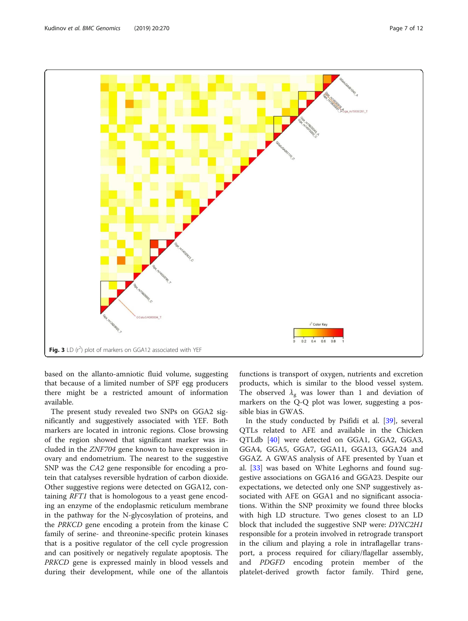<span id="page-7-0"></span>

based on the allanto-amniotic fluid volume, suggesting that because of a limited number of SPF egg producers there might be a restricted amount of information available.

The present study revealed two SNPs on GGA2 significantly and suggestively associated with YEF. Both markers are located in intronic regions. Close browsing of the region showed that significant marker was included in the ZNF704 gene known to have expression in ovary and endometrium. The nearest to the suggestive SNP was the CA2 gene responsible for encoding a protein that catalyses reversible hydration of carbon dioxide. Other suggestive regions were detected on GGA12, containing RFT1 that is homologous to a yeast gene encoding an enzyme of the endoplasmic reticulum membrane in the pathway for the N-glycosylation of proteins, and the PRKCD gene encoding a protein from the kinase C family of serine- and threonine-specific protein kinases that is a positive regulator of the cell cycle progression and can positively or negatively regulate apoptosis. The PRKCD gene is expressed mainly in blood vessels and during their development, while one of the allantois functions is transport of oxygen, nutrients and excretion products, which is similar to the blood vessel system. The observed  $\lambda_{\rm g}$  was lower than 1 and deviation of markers on the Q-Q plot was lower, suggesting a possible bias in GWAS.

In the study conducted by Psifidi et al. [[39\]](#page-11-0), several QTLs related to AFE and available in the Chicken QTLdb [\[40](#page-11-0)] were detected on GGA1, GGA2, GGA3, GGA4, GGA5, GGA7, GGA11, GGA13, GGA24 and GGAZ. A GWAS analysis of AFE presented by Yuan et al. [\[33](#page-11-0)] was based on White Leghorns and found suggestive associations on GGA16 and GGA23. Despite our expectations, we detected only one SNP suggestively associated with AFE on GGA1 and no significant associations. Within the SNP proximity we found three blocks with high LD structure. Two genes closest to an LD block that included the suggestive SNP were: DYNC2H1 responsible for a protein involved in retrograde transport in the cilium and playing a role in intraflagellar transport, a process required for ciliary/flagellar assembly, and PDGFD encoding protein member of the platelet-derived growth factor family. Third gene,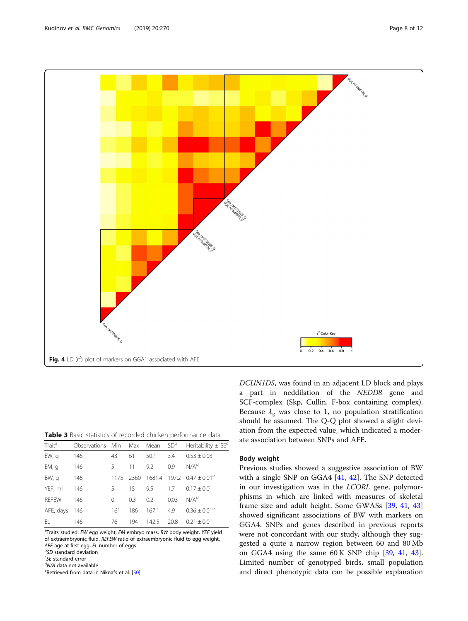

Table 3 Basic statistics of recorded chicken performance data

| Trait <sup>a</sup> | Observations Min Max Mean SD <sup>b</sup> |      |      |        |      | Heritability $\pm$ SE <sup>c</sup> |
|--------------------|-------------------------------------------|------|------|--------|------|------------------------------------|
| EW, g              | 146                                       | 43   | 61   | 50.1   | 3.4  | $0.53 \pm 0.03$                    |
| EM, q              | 146                                       | 5.   | 11   | 9.2    | 0.9  | N/A <sup>d</sup>                   |
| BW, g              | 146                                       | 1175 | 2360 | 1681.4 |      | $197.2 \quad 0.47 \pm 0.01^e$      |
| YEF, ml            | 146                                       | 5    | 15   | 9.5    | 1.7  | $0.17 \pm 0.01$                    |
| <b>RFFFW</b>       | 146                                       | 0.1  | 0.3  | 0.2    | 0.03 | N/A <sup>d</sup>                   |
| AFE, days          | 146                                       | 161  | 186  | 167.1  | 4.9  | $0.36 \pm 0.01^e$                  |
| EL                 | 146                                       | 76   | 194  | 142.5  | 20.8 | $0.21 \pm 0.01$                    |

<sup>a</sup>Traits studied: EW egg weight, EM embryo mass, BW body weight, YEF yield of extraembryonic fluid, REFEW ratio of extraembryonic fluid to egg weight, AFE age at first egg, EL number of eggs

**b**SD standard deviation

<sup>c</sup>SE standard error

<sup>d</sup>N/A data not available

<sup>e</sup>Retrieved from data in Niknafs et al. [[50\]](#page-11-0)

DCUN1D5, was found in an adjacent LD block and plays a part in neddilation of the NEDD8 gene and SCF-complex (Skp, Cullin, F-box containing complex). Because  $\lambda_{\rm g}$  was close to 1, no population stratification should be assumed. The Q-Q plot showed a slight deviation from the expected value, which indicated a moderate association between SNPs and AFE.

#### Body weight

Previous studies showed a suggestive association of BW with a single SNP on GGA4 [\[41,](#page-11-0) [42](#page-11-0)]. The SNP detected in our investigation was in the LCORL gene, polymorphisms in which are linked with measures of skeletal frame size and adult height. Some GWASs [[39](#page-11-0), [41](#page-11-0), [43](#page-11-0)] showed significant associations of BW with markers on GGA4. SNPs and genes described in previous reports were not concordant with our study, although they suggested a quite a narrow region between 60 and 80 Mb on GGA4 using the same 60 K SNP chip [\[39](#page-11-0), [41,](#page-11-0) [43](#page-11-0)]. Limited number of genotyped birds, small population and direct phenotypic data can be possible explanation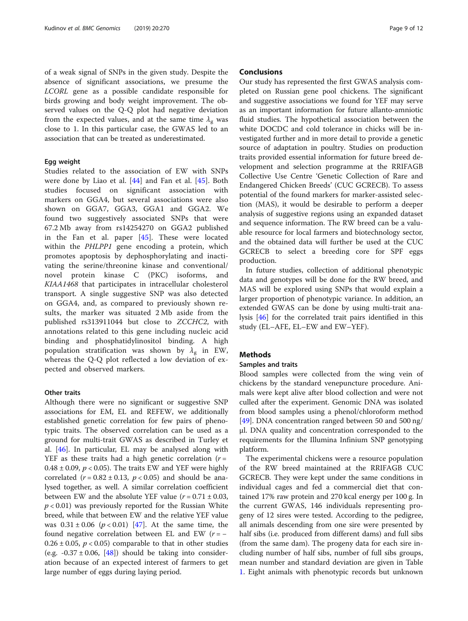<span id="page-9-0"></span>of a weak signal of SNPs in the given study. Despite the absence of significant associations, we presume the LCORL gene as a possible candidate responsible for birds growing and body weight improvement. The observed values on the Q-Q plot had negative deviation from the expected values, and at the same time  $\lambda_{\rm g}$  was close to 1. In this particular case, the GWAS led to an association that can be treated as underestimated.

#### Egg weight

Studies related to the association of EW with SNPs were done by Liao et al. [\[44](#page-11-0)] and Fan et al. [\[45](#page-11-0)]. Both studies focused on significant association with markers on GGA4, but several associations were also shown on GGA7, GGA3, GGA1 and GGA2. We found two suggestively associated SNPs that were 67.2 Mb away from rs14254270 on GGA2 published in the Fan et al. paper [\[45](#page-11-0)]. These were located within the PHLPP1 gene encoding a protein, which promotes apoptosis by dephosphorylating and inactivating the serine/threonine kinase and conventional/ novel protein kinase C (PKC) isoforms, and KIAA1468 that participates in intracellular cholesterol transport. A single suggestive SNP was also detected on GGA4, and, as compared to previously shown results, the marker was situated 2 Mb aside from the published rs313911044 but close to ZCCHC2, with annotations related to this gene including nucleic acid binding and phosphatidylinositol binding. A high population stratification was shown by  $\lambda_{\rm g}$  in EW, whereas the Q-Q plot reflected a low deviation of expected and observed markers.

#### Other traits

Although there were no significant or suggestive SNP associations for EM, EL and REFEW, we additionally established genetic correlation for few pairs of phenotypic traits. The observed correlation can be used as a ground for multi-trait GWAS as described in Turley et al. [[46\]](#page-11-0). In particular, EL may be analysed along with YEF as these traits had a high genetic correlation  $(r =$ 0.48  $\pm$  0.09,  $p$  < 0.05). The traits EW and YEF were highly correlated ( $r = 0.82 \pm 0.13$ ,  $p < 0.05$ ) and should be analysed together, as well. A similar correlation coefficient between EW and the absolute YEF value  $(r = 0.71 \pm 0.03,$  $p < 0.01$ ) was previously reported for the Russian White breed, while that between EW and the relative YEF value was  $0.31 \pm 0.06$  ( $p < 0.01$ ) [[47\]](#page-11-0). At the same time, the found negative correlation between EL and EW  $(r = 0.26 \pm 0.05$ ,  $p < 0.05$ ) comparable to that in other studies (e.g.  $-0.37 \pm 0.06$ , [[48\]](#page-11-0)) should be taking into consideration because of an expected interest of farmers to get large number of eggs during laying period.

#### Conclusions

Our study has represented the first GWAS analysis completed on Russian gene pool chickens. The significant and suggestive associations we found for YEF may serve as an important information for future allanto-amniotic fluid studies. The hypothetical association between the white DOCDC and cold tolerance in chicks will be investigated further and in more detail to provide a genetic source of adaptation in poultry. Studies on production traits provided essential information for future breed development and selection programme at the RRIFAGB Collective Use Centre 'Genetic Collection of Rare and Endangered Chicken Breeds' (CUC GCRECB). To assess potential of the found markers for marker-assisted selection (MAS), it would be desirable to perform a deeper analysis of suggestive regions using an expanded dataset and sequence information. The RW breed can be a valuable resource for local farmers and biotechnology sector, and the obtained data will further be used at the CUC GCRECB to select a breeding core for SPF eggs production.

In future studies, collection of additional phenotypic data and genotypes will be done for the RW breed, and MAS will be explored using SNPs that would explain a larger proportion of phenotypic variance. In addition, an extended GWAS can be done by using multi-trait analysis [\[46\]](#page-11-0) for the correlated trait pairs identified in this study (EL–AFE, EL–EW and EW–YEF).

#### Methods

#### Samples and traits

Blood samples were collected from the wing vein of chickens by the standard venepuncture procedure. Animals were kept alive after blood collection and were not culled after the experiment. Genomic DNA was isolated from blood samples using a phenol/chloroform method [[49\]](#page-11-0). DNA concentration ranged between 50 and 500 ng/ μl. DNA quality and concentration corresponded to the requirements for the Illumina Infinium SNP genotyping platform.

The experimental chickens were a resource population of the RW breed maintained at the RRIFAGB CUC GCRECB. They were kept under the same conditions in individual cages and fed a commercial diet that contained 17% raw protein and 270 kcal energy per 100 g. In the current GWAS, 146 individuals representing progeny of 12 sires were tested. According to the pedigree, all animals descending from one sire were presented by half sibs (i.e. produced from different dams) and full sibs (from the same dam). The progeny data for each sire including number of half sibs, number of full sibs groups, mean number and standard deviation are given in Table [1.](#page-2-0) Eight animals with phenotypic records but unknown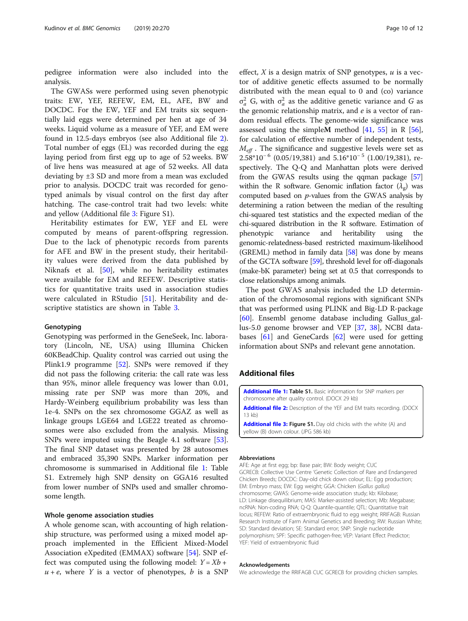<span id="page-10-0"></span>pedigree information were also included into the analysis.

The GWASs were performed using seven phenotypic traits: EW, YEF, REFEW, EM, EL, AFE, BW and DOCDC. For the EW, YEF and EM traits six sequentially laid eggs were determined per hen at age of 34 weeks. Liquid volume as a measure of YEF, and EM were found in 12.5-days embryos (see also Additional file [2](#page-9-0)). Total number of eggs (EL) was recorded during the egg laying period from first egg up to age of 52 weeks. BW of live hens was measured at age of 52 weeks. All data deviating by ±3 SD and more from a mean was excluded prior to analysis. DOCDC trait was recorded for genotyped animals by visual control on the first day after hatching. The case-control trait had two levels: white and yellow (Additional file [3:](#page-9-0) Figure S1).

Heritability estimates for EW, YEF and EL were computed by means of parent-offspring regression. Due to the lack of phenotypic records from parents for AFE and BW in the present study, their heritability values were derived from the data published by Niknafs et al. [\[50](#page-11-0)], while no heritability estimates were available for EM and REFEW. Descriptive statistics for quantitative traits used in association studies were calculated in RStudio [[51\]](#page-11-0). Heritability and descriptive statistics are shown in Table [3](#page-7-0).

#### Genotyping

Genotyping was performed in the GeneSeek, Inc. laboratory (Lincoln, NE, USA) using Illumina Chicken 60KBeadChip. Quality control was carried out using the Plink1.9 programme [[52](#page-11-0)]. SNPs were removed if they did not pass the following criteria: the call rate was less than 95%, minor allele frequency was lower than 0.01, missing rate per SNP was more than 20%, and Hardy-Weinberg equilibrium probability was less than 1e-4. SNPs on the sex chromosome GGAZ as well as linkage groups LGE64 and LGE22 treated as chromosomes were also excluded from the analysis. Missing SNPs were imputed using the Beagle 4.1 software [\[53](#page-11-0)]. The final SNP dataset was presented by 28 autosomes and embraced 35,390 SNPs. Marker information per chromosome is summarised in Additional file [1:](#page-9-0) Table S1. Extremely high SNP density on GGA16 resulted from lower number of SNPs used and smaller chromosome length.

#### Whole genome association studies

A whole genome scan, with accounting of high relationship structure, was performed using a mixed model approach implemented in the Efficient Mixed-Model Association eXpedited (EMMAX) software [\[54\]](#page-11-0). SNP effect was computed using the following model:  $Y = Xb +$  $u + e$ , where Y is a vector of phenotypes, b is a SNP effect,  $X$  is a design matrix of SNP genotypes,  $u$  is a vector of additive genetic effects assumed to be normally distributed with the mean equal to 0 and (co) variance  $\sigma_a^2$  G, with  $\sigma_a^2$  as the additive genetic variance and G as the genomic relationship matrix, and  $e$  is a vector of random residual effects. The genome-wide significance was assessed using the simpleM method  $[41, 55]$  $[41, 55]$  $[41, 55]$  in R  $[56]$  $[56]$ , for calculation of effective number of independent tests,  $M_{\text{eff}}$ . The significance and suggestive levels were set as  $2.58*10^{-6}$  (0.05/19,381) and  $5.16*10^{-5}$  (1.00/19,381), respectively. The Q-Q and Manhattan plots were derived from the GWAS results using the qqman package [\[57](#page-11-0)] within the R software. Genomic inflation factor  $(\lambda_g)$  was computed based on  $p$ -values from the GWAS analysis by determining a ration between the median of the resulting chi-squared test statistics and the expected median of the chi-squared distribution in the R software. Estimation of phenotypic variance and heritability using the genomic-relatedness-based restricted maximum-likelihood (GREML) method in family data  $[58]$  $[58]$  was done by means of the GCTA software [[59](#page-11-0)], threshold level for off-diagonals (make-bK parameter) being set at 0.5 that corresponds to close relationships among animals.

The post GWAS analysis included the LD determination of the chromosomal regions with significant SNPs that was performed using PLINK and Big-LD R-package [[60\]](#page-11-0). Ensembl genome database including Gallus\_gallus-5.0 genome browser and VEP [\[37](#page-11-0), [38](#page-11-0)], NCBI databases [[61\]](#page-11-0) and GeneCards [[62\]](#page-11-0) were used for getting information about SNPs and relevant gene annotation.

#### Additional files

[Additional file 1:](https://doi.org/10.1186/s12864-019-5605-5) Table S1. Basic information for SNP markers per chromosome after quality control. (DOCX 29 kb) [Additional file 2:](https://doi.org/10.1186/s12864-019-5605-5) Description of the YEF and EM traits recording. (DOCX 13 kb) [Additional file 3:](https://doi.org/10.1186/s12864-019-5605-5) Figure S1. Day old chicks with the white (A) and yellow (B) down colour. (JPG 586 kb)

#### Abbreviations

AFE: Age at first egg; bp: Base pair; BW: Body weight; CUC GCRECB: Collective Use Centre 'Genetic Collection of Rare and Endangered Chicken Breeds; DOCDC: Day-old chick down colour; EL: Egg production; EM: Embryo mass; EW: Egg weight; GGA: Chicken (Gallus gallus) chromosome; GWAS: Genome-wide association study; kb: Kilobase; LD: Linkage disequilibrium; MAS: Marker-assisted selection; Mb: Megabase; ncRNA: Non-coding RNA; Q-Q: Quantile-quantile; QTL: Quantitative trait locus; REFEW: Ratio of extraembryonic fluid to egg weight; RRIFAGB: Russian Research Institute of Farm Animal Genetics and Breeding; RW: Russian White; SD: Standard deviation; SE: Standard error; SNP: Single nucleotide polymorphism; SPF: Specific pathogen-free; VEP: Variant Effect Predictor; YEF: Yield of extraembryonic fluid

#### Acknowledgements

We acknowledge the RRIFAGB CUC GCRECB for providing chicken samples.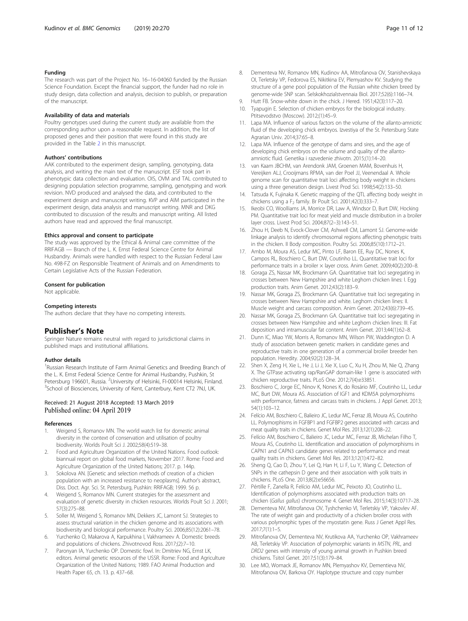#### <span id="page-11-0"></span>Funding

The research was part of the Project No. 16–16-04060 funded by the Russian Science Foundation. Except the financial support, the funder had no role in study design, data collection and analysis, decision to publish, or preparation of the manuscript.

#### Availability of data and materials

Poultry genotypes used during the current study are available from the corresponding author upon a reasonable request. In addition, the list of proposed genes and their position that were found in this study are provided in the Table [2](#page-4-0) in this manuscript.

#### Authors' contributions

AAK contributed to the experiment design, sampling, genotyping, data analysis, and writing the main text of the manuscript. ESF took part in phenotypic data collection and evaluation. OIS, OVM and TAL contributed to designing population selection programme, sampling, genotyping and work revision. NVD produced and analysed the data, and contributed to the experiment design and manuscript writing. KVP and AIM participated in the experiment design, data analysis and manuscript writing. MNR and DKG contributed to discussion of the results and manuscript writing. All listed authors have read and approved the final manuscript.

#### Ethics approval and consent to participate

The study was approved by the Ethical & Animal care committee of the RRIFAGB — Branch of the L. K. Ernst Federal Science Centre for Animal Husbandry. Animals were handled with respect to the Russian Federal Law No. 498-FZ on Responsible Treatment of Animals and on Amendments to Certain Legislative Acts of the Russian Federation.

#### Consent for publication

Not applicable.

#### Competing interests

The authors declare that they have no competing interests.

#### Publisher's Note

Springer Nature remains neutral with regard to jurisdictional claims in published maps and institutional affiliations.

#### Author details

<sup>1</sup>Russian Research Institute of Farm Animal Genetics and Breeding Branch of the L. K. Ernst Federal Science Centre for Animal Husbandry, Pushkin, St Petersburg 196601, Russia. <sup>2</sup>University of Helsinki, FI-00014 Helsinki, Finland. <sup>3</sup>School of Biosciences, University of Kent, Canterbury, Kent CT2 7NJ, UK.

#### Received: 21 August 2018 Accepted: 13 March 2019 Published online: 04 April 2019

#### References

- 1. Weigend S, Romanov MN. The world watch list for domestic animal diversity in the context of conservation and utilisation of poultry biodiversity. Worlds Poult Sci J. 2002;58(4):519–38.
- 2. Food and Agriculture Organization of the United Nations. Food outlook: biannual report on global food markets, November 2017. Rome: Food and Agriculture Organization of the United Nations; 2017. p. 144p.
- 3. Sokolova AN. [Genetic and selection methods of creation of a chicken population with an increased resistance to neoplasms]. Author's abstract, Diss. Doct. Agr. Sci. St. Petersburg, Pushkin: RRIFAGB; 1999. 56 p.
- Weigend S, Romanov MN. Current strategies for the assessment and evaluation of genetic diversity in chicken resources. Worlds Poult Sci J. 2001; 57(3):275–88.
- 5. Soller M, Weigend S, Romanov MN, Dekkers JC, Lamont SJ. Strategies to assess structural variation in the chicken genome and its associations with biodiversity and biological performance. Poultry Sci. 2006;85(12):2061–78.
- 6. Yurchenko O, Makarova A, Karpukhina I, Vakhrameev A. Domestic breeds and populations of chickens. Zhivotnovod Ross. 2017;(2):7–10.
- 7. Paronyan IA, Yurchenko OP. Domestic fowl. In: Dmitriev NG, Ernst LK, editors. Animal genetic resources of the USSR. Rome: Food and Agriculture Organization of the United Nations; 1989. FAO Animal Production and Health Paper 65, ch. 13. p. 437–68.
- 8. Dementeva NV, Romanov MN, Kudinov AA, Mitrofanova OV, Stanishevskaya OI, Terletsky VP, Fedorova ES, Nikitkina EV, Plemyashov KV. Studying the structure of a gene pool population of the Russian white chicken breed by genome-wide SNP scan. Selskokhoziaĭstvennaia Biol. 2017;52(6):1166–74.
- 9. Hutt FB. Snow-white down in the chick. J Hered. 1951;42(3):117–20. 10. Tyapugin E. Selection of chicken embryos for the biological industry.
- Ptitsevodstvo (Moscow). 2012;(1):45–9. 11. Lapa MA. Influence of various factors on the volume of the allanto-amniotic
- fluid of the developing chick embryos. Izvestiya of the St. Petersburg State Agrarian Univ. 2014;37:65–8.
- 12. Lapa MA. Influence of the genotype of dams and sires, and the age of developing chick embryos on the volume and quality of the allantoamniotic fluid. Genetika i razvedenie zhivotn. 2015;(1):14–20.
- 13. van Kaam JBCHM, van Arendonk JAM, Groenen MAM, Bovenhuis H, Vereijken ALJ, Crooijmans RPMA, van der Poel JJ, Veenendaal A. Whole genome scan for quantitative trait loci affecting body weight in chickens using a three generation design. Livest Prod Sci. 1998;54(2):133–50.
- 14. Tatsuda K, Fujinaka K, Genetic mapping of the OTL affecting body weight in chickens using a  $F_2$  family. Br Poult Sci. 2001;42(3):333-7.
- 15. Ikeobi CO, Woolliams JA, Morrice DR, Law A, Windsor D, Burt DW, Hocking PM. Quantitative trait loci for meat yield and muscle distribution in a broiler layer cross. Livest Prod Sci. 2004;87(2–3):143–51.
- 16. Zhou H, Deeb N, Evock-Clover CM, Ashwell CM, Lamont SJ. Genome-wide linkage analysis to identify chromosomal regions affecting phenotypic traits in the chicken. II Body composition. Poultry Sci. 2006;85(10):1712–21.
- 17. Ambo M, Moura AS, Ledur MC, Pinto LF, Baron EE, Ruy DC, Nones K, Campos RL, Boschiero C, Burt DW, Coutinho LL. Quantitative trait loci for performance traits in a broiler x layer cross. Anim Genet. 2009;40(2):200-8.
- 18. Goraga ZS, Nassar MK, Brockmann GA. Quantitative trait loci segregating in crosses between New Hampshire and white Leghorn chicken lines: I. Egg production traits. Anim Genet. 2012;43(2):183–9.
- 19. Nassar MK, Goraga ZS, Brockmann GA. Quantitative trait loci segregating in crosses between New Hampshire and white. Leghorn chicken lines: II. Muscle weight and carcass composition. Anim Genet. 2012;43(6):739–45.
- 20. Nassar MK, Goraga ZS, Brockmann GA. Quantitative trait loci segregating in crosses between New Hampshire and white Leghorn chicken lines: III. Fat deposition and intramuscular fat content. Anim Genet. 2013;44(1):62–8.
- 21. Dunn IC, Miao YW, Morris A, Romanov MN, Wilson PW, Waddington D. A study of association between genetic markers in candidate genes and reproductive traits in one generation of a commercial broiler breeder hen population. Heredity. 2004;92(2):128–34.
- 22. Shen X, Zeng H, Xie L, He J, Li J, Xie X, Luo C, Xu H, Zhou M, Nie Q, Zhang X. The GTPase activating rap/RanGAP domain-like 1 gene is associated with chicken reproductive traits. PLoS One. 2012;7(4):e33851.
- 23. Boschiero C, Jorge EC, Ninov K, Nones K, do Rosário MF, Coutinho LL, Ledur MC, Burt DW, Moura AS. Association of IGF1 and KDM5A polymorphisms with performance, fatness and carcass traits in chickens. J Appl Genet. 2013; 54(1):103–12.
- 24. Felício AM, Boschiero C, Balieiro JC, Ledur MC, Ferraz JB, Moura AS, Coutinho LL. Polymorphisms in FGFBP1 and FGFBP2 genes associated with carcass and meat quality traits in chickens. Genet Mol Res. 2013;12(1):208–22.
- 25. Felício AM, Boschiero C, Balieiro JC, Ledur MC, Ferraz JB, Michelan Filho T, Moura AS, Coutinho LL. Identification and association of polymorphisms in CAPN1 and CAPN3 candidate genes related to performance and meat quality traits in chickens. Genet Mol Res. 2013;12(1):472–82.
- 26. Sheng Q, Cao D, Zhou Y, Lei Q, Han H, Li F, Lu Y, Wang C. Detection of SNPs in the cathepsin D gene and their association with yolk traits in chickens. PLoS One. 2013;8(2):e56656.
- 27. Pértille F, Zanella R, Felício AM, Ledur MC, Peixoto JO, Coutinho LL. Identification of polymorphisms associated with production traits on chicken (Gallus gallus) chromosome 4. Genet Mol Res. 2015;14(3):10717–28.
- 28. Dementeva NV, Mitrofanova OV, Tyshchenko VI, Terletskiy VP, Yakovlev AF. The rate of weight gain and productivity of a chicken broiler cross with various polymorphic types of the myostatin gene. Russ J Genet Appl Res. 2017;7(1):1–5.
- 29. Mitrofanova OV, Dementeva NV, Krutikova AA, Yurchenko OP, Vakhrameev AB, Terletskiy VP. Association of polymorphic variants in MSTN, PRL, and DRD2 genes with intensity of young animal growth in Pushkin breed chickens. Tsitol Genet. 2017;51(3):179–84.
- 30. Lee MO, Womack JE, Romanov MN, Plemyashov KV, Dementieva NV, Mitrofanova OV, Barkova OY. Haplotype structure and copy number